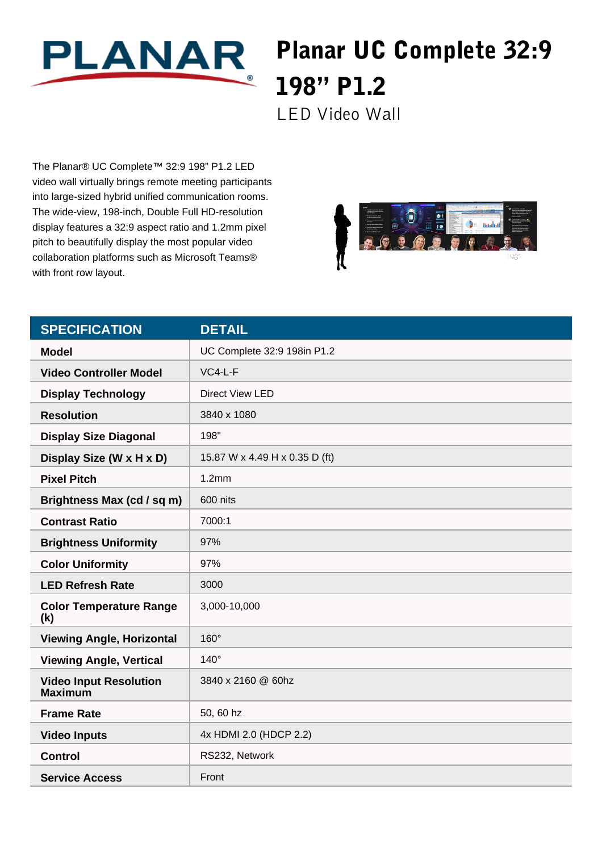

## Planar UC Complete 32:9 198" P1.2

LED Video Wall

The Planar® UC Complete™ 32:9 198" P1.2 LED video wall virtually brings remote meeting participants into large-sized hybrid unified communication rooms. The wide-view, 198-inch, Double Full HD-resolution display features a 32:9 aspect ratio and 1.2mm pixel pitch to beautifully display the most popular video collaboration platforms such as Microsoft Teams® with front row layout.



| <b>SPECIFICATION</b>                            | <b>DETAIL</b>                  |
|-------------------------------------------------|--------------------------------|
| <b>Model</b>                                    | UC Complete 32:9 198in P1.2    |
| <b>Video Controller Model</b>                   | $VC4-L-F$                      |
| <b>Display Technology</b>                       | <b>Direct View LED</b>         |
| <b>Resolution</b>                               | 3840 x 1080                    |
| <b>Display Size Diagonal</b>                    | 198"                           |
| Display Size (W x H x D)                        | 15.87 W x 4.49 H x 0.35 D (ft) |
| <b>Pixel Pitch</b>                              | 1.2mm                          |
| Brightness Max (cd / sq m)                      | 600 nits                       |
| <b>Contrast Ratio</b>                           | 7000:1                         |
| <b>Brightness Uniformity</b>                    | 97%                            |
| <b>Color Uniformity</b>                         | 97%                            |
| <b>LED Refresh Rate</b>                         | 3000                           |
| <b>Color Temperature Range</b><br>(k)           | 3,000-10,000                   |
| <b>Viewing Angle, Horizontal</b>                | $160^\circ$                    |
| <b>Viewing Angle, Vertical</b>                  | $140^\circ$                    |
| <b>Video Input Resolution</b><br><b>Maximum</b> | 3840 x 2160 @ 60hz             |
| <b>Frame Rate</b>                               | 50, 60 hz                      |
| <b>Video Inputs</b>                             | 4x HDMI 2.0 (HDCP 2.2)         |
| <b>Control</b>                                  | RS232, Network                 |
| <b>Service Access</b>                           | Front                          |